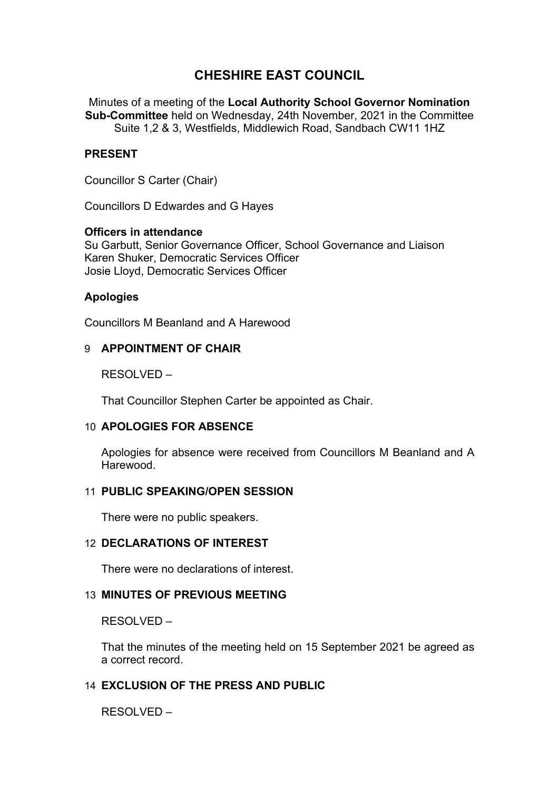# **CHESHIRE EAST COUNCIL**

Minutes of a meeting of the **Local Authority School Governor Nomination Sub-Committee** held on Wednesday, 24th November, 2021 in the Committee Suite 1,2 & 3, Westfields, Middlewich Road, Sandbach CW11 1HZ

# **PRESENT**

Councillor S Carter (Chair)

Councillors D Edwardes and G Hayes

### **Officers in attendance**

Su Garbutt, Senior Governance Officer, School Governance and Liaison Karen Shuker, Democratic Services Officer Josie Lloyd, Democratic Services Officer

### **Apologies**

Councillors M Beanland and A Harewood

### 9 **APPOINTMENT OF CHAIR**

RESOLVED –

That Councillor Stephen Carter be appointed as Chair.

### 10 **APOLOGIES FOR ABSENCE**

Apologies for absence were received from Councillors M Beanland and A **Harewood.** 

### 11 **PUBLIC SPEAKING/OPEN SESSION**

There were no public speakers.

#### 12 **DECLARATIONS OF INTEREST**

There were no declarations of interest.

### 13 **MINUTES OF PREVIOUS MEETING**

RESOLVED –

That the minutes of the meeting held on 15 September 2021 be agreed as a correct record.

# 14 **EXCLUSION OF THE PRESS AND PUBLIC**

RESOLVED –